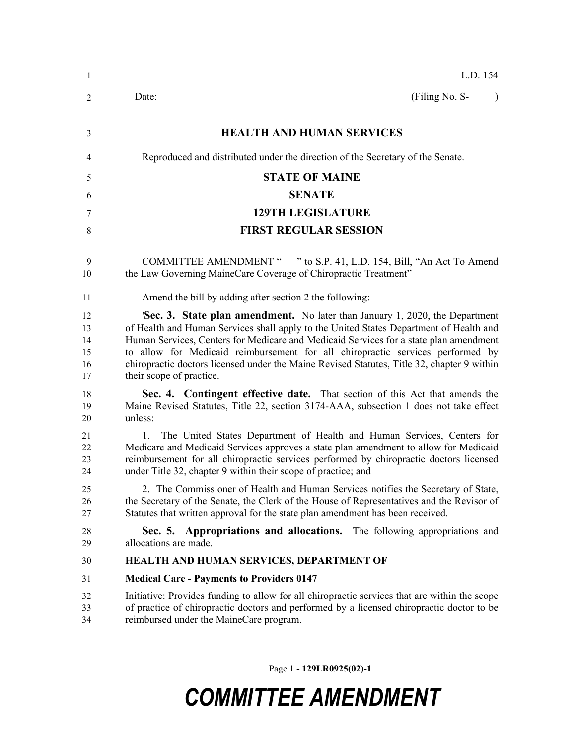| $\mathbf{1}$                     | L.D. 154                                                                                                                                                                                                                                                                                                                                                                                                                                                                    |  |  |
|----------------------------------|-----------------------------------------------------------------------------------------------------------------------------------------------------------------------------------------------------------------------------------------------------------------------------------------------------------------------------------------------------------------------------------------------------------------------------------------------------------------------------|--|--|
| 2                                | (Filing No. S-<br>Date:<br>$\lambda$                                                                                                                                                                                                                                                                                                                                                                                                                                        |  |  |
| 3                                | <b>HEALTH AND HUMAN SERVICES</b>                                                                                                                                                                                                                                                                                                                                                                                                                                            |  |  |
| 4                                | Reproduced and distributed under the direction of the Secretary of the Senate.                                                                                                                                                                                                                                                                                                                                                                                              |  |  |
| 5                                | <b>STATE OF MAINE</b>                                                                                                                                                                                                                                                                                                                                                                                                                                                       |  |  |
| 6                                | <b>SENATE</b>                                                                                                                                                                                                                                                                                                                                                                                                                                                               |  |  |
| 7                                | <b>129TH LEGISLATURE</b>                                                                                                                                                                                                                                                                                                                                                                                                                                                    |  |  |
| 8                                | <b>FIRST REGULAR SESSION</b>                                                                                                                                                                                                                                                                                                                                                                                                                                                |  |  |
| 9<br>10                          | COMMITTEE AMENDMENT " " to S.P. 41, L.D. 154, Bill, "An Act To Amend<br>the Law Governing MaineCare Coverage of Chiropractic Treatment"                                                                                                                                                                                                                                                                                                                                     |  |  |
| 11                               | Amend the bill by adding after section 2 the following:                                                                                                                                                                                                                                                                                                                                                                                                                     |  |  |
| 12<br>13<br>14<br>15<br>16<br>17 | 'Sec. 3. State plan amendment. No later than January 1, 2020, the Department<br>of Health and Human Services shall apply to the United States Department of Health and<br>Human Services, Centers for Medicare and Medicaid Services for a state plan amendment<br>to allow for Medicaid reimbursement for all chiropractic services performed by<br>chiropractic doctors licensed under the Maine Revised Statutes, Title 32, chapter 9 within<br>their scope of practice. |  |  |
| 18<br>19<br>20                   | Sec. 4. Contingent effective date. That section of this Act that amends the<br>Maine Revised Statutes, Title 22, section 3174-AAA, subsection 1 does not take effect<br>unless:                                                                                                                                                                                                                                                                                             |  |  |
| 21<br>22<br>23<br>24             | The United States Department of Health and Human Services, Centers for<br>1.<br>Medicare and Medicaid Services approves a state plan amendment to allow for Medicaid<br>reimbursement for all chiropractic services performed by chiropractic doctors licensed<br>under Title 32, chapter 9 within their scope of practice; and                                                                                                                                             |  |  |
| 25<br>26<br>27                   | 2. The Commissioner of Health and Human Services notifies the Secretary of State,<br>the Secretary of the Senate, the Clerk of the House of Representatives and the Revisor of<br>Statutes that written approval for the state plan amendment has been received.                                                                                                                                                                                                            |  |  |
| 28<br>29                         | Sec. 5. Appropriations and allocations. The following appropriations and<br>allocations are made.                                                                                                                                                                                                                                                                                                                                                                           |  |  |
| 30                               | HEALTH AND HUMAN SERVICES, DEPARTMENT OF                                                                                                                                                                                                                                                                                                                                                                                                                                    |  |  |
| 31                               | <b>Medical Care - Payments to Providers 0147</b>                                                                                                                                                                                                                                                                                                                                                                                                                            |  |  |
| 32<br>33<br>34                   | Initiative: Provides funding to allow for all chiropractic services that are within the scope<br>of practice of chiropractic doctors and performed by a licensed chiropractic doctor to be<br>reimbursed under the MaineCare program.                                                                                                                                                                                                                                       |  |  |

Page 1 **- 129LR0925(02)-1**

## *COMMITTEE AMENDMENT*